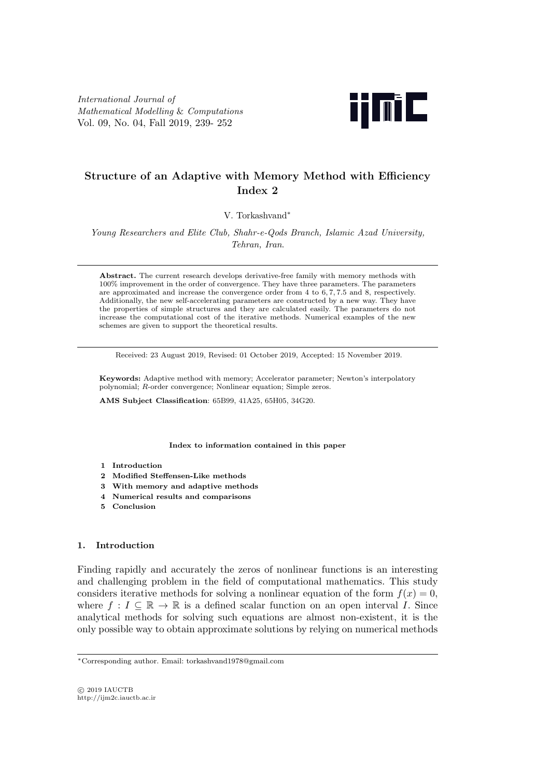*International Journal of Mathematical Modelling* & *Computations* Vol. 09, No. 04, Fall 2019, 239- 252



# **Structure of an Adaptive with Memory Method with Efficiency Index 2**

V. Torkashvand*∗*

*Young Researchers and Elite Club, Shahr-e-Qods Branch, Islamic Azad University, Tehran, Iran*.

**Abstract.** The current research develops derivative-free family with memory methods with 100% improvement in the order of convergence. They have three parameters. The parameters are approximated and increase the convergence order from 4 to 6, 7, 7.5 and 8, respectively. Additionally, the new self-accelerating parameters are constructed by a new way. They have the properties of simple structures and they are calculated easily. The parameters do not increase the computational cost of the iterative methods. Numerical examples of the new schemes are given to support the theoretical results.

Received: 23 August 2019, Revised: 01 October 2019, Accepted: 15 November 2019.

**Keywords:** Adaptive method with memory; Accelerator parameter; Newton's interpolatory polynomial; *R*-order convergence; Nonlinear equation; Simple zeros.

**AMS Subject Classification**: 65B99, 41A25, 65H05, 34G20.

**Index to information contained in this paper**

- **1 Introduction**
- **2 Modified Steffensen-Like methods**
- **3 With memory and adaptive methods**
- **4 Numerical results and comparisons**
- **5 Conclusion**

## **1. Introduction**

Finding rapidly and accurately the zeros of nonlinear functions is an interesting and challenging problem in the field of computational mathematics. This study considers iterative methods for solving a nonlinear equation of the form  $f(x) = 0$ , where  $f: I \subseteq \mathbb{R} \to \mathbb{R}$  is a defined scalar function on an open interval *I*. Since analytical methods for solving such equations are almost non-existent, it is the only possible way to obtain approximate solutions by relying on numerical methods

*<sup>∗</sup>*Corresponding author. Email: torkashvand1978@gmail.com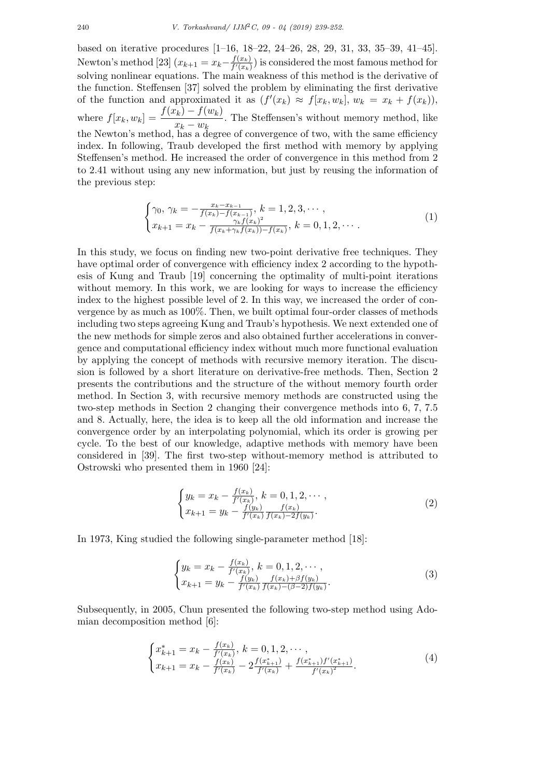based on iterative procedures [1–16, 18–22, 24–26, 28, 29, 31, 33, 35–39, 41–45]. Newton's method [23]  $(x_{k+1} = x_k - \frac{f(x_k)}{f'(x_k)})$  $\frac{f(x_k)}{f'(x_k)}$  is considered the most famous method for solving nonlinear equations. The main weakness of this method is the derivative of the function. Steffensen [37] solved the problem by eliminating the first derivative of the function and approximated it as  $(f'(x_k) \approx f[x_k, w_k], w_k = x_k + f(x_k)),$ where  $f[x_k, w_k] = \frac{f(x_k) - f(w_k)}{x_k - w_k}$ . The Steffensen's without memory method, like the Newton's method, has a degree of convergence of two, with the same efficiency index. In following, Traub developed the first method with memory by applying Steffensen's method. He increased the order of convergence in this method from 2 to 2*.*41 without using any new information, but just by reusing the information of the previous step:

$$
\begin{cases}\n\gamma_0, \ \gamma_k = -\frac{x_k - x_{k-1}}{f(x_k) - f(x_{k-1})}, \ k = 1, 2, 3, \cdots, \\
x_{k+1} = x_k - \frac{\gamma_k f(x_k)^2}{f(x_k + \gamma_k f(x_k)) - f(x_k)}, \ k = 0, 1, 2, \cdots.\n\end{cases} \tag{1}
$$

In this study, we focus on finding new two-point derivative free techniques. They have optimal order of convergence with efficiency index 2 according to the hypothesis of Kung and Traub [19] concerning the optimality of multi-point iterations without memory. In this work, we are looking for ways to increase the efficiency index to the highest possible level of 2. In this way, we increased the order of convergence by as much as 100%. Then, we built optimal four-order classes of methods including two steps agreeing Kung and Traub's hypothesis. We next extended one of the new methods for simple zeros and also obtained further accelerations in convergence and computational efficiency index without much more functional evaluation by applying the concept of methods with recursive memory iteration. The discusion is followed by a short literature on derivative-free methods. Then, Section 2 presents the contributions and the structure of the without memory fourth order method. In Section 3, with recursive memory methods are constructed using the two-step methods in Section 2 changing their convergence methods into 6*,* 7*,* 7*.*5 and 8. Actually, here, the idea is to keep all the old information and increase the convergence order by an interpolating polynomial, which its order is growing per cycle. To the best of our knowledge, adaptive methods with memory have been considered in [39]. The first two-step without-memory method is attributed to Ostrowski who presented them in 1960 [24]:

$$
\begin{cases} y_k = x_k - \frac{f(x_k)}{f'(x_k)}, \ k = 0, 1, 2, \cdots, \\ x_{k+1} = y_k - \frac{f(y_k)}{f'(x_k)} \frac{f(x_k)}{f(x_k) - 2f(y_k)}. \end{cases} \tag{2}
$$

In 1973, King studied the following single-parameter method [18]:

$$
\begin{cases} y_k = x_k - \frac{f(x_k)}{f'(x_k)}, \ k = 0, 1, 2, \cdots, \\ x_{k+1} = y_k - \frac{f(y_k)}{f'(x_k)} \frac{f(x_k) + \beta f(y_k)}{f(x_k) - (\beta - 2)f(y_k)}. \end{cases} \tag{3}
$$

Subsequently, in 2005, Chun presented the following two-step method using Adomian decomposition method [6]:

$$
\begin{cases} x_{k+1}^* = x_k - \frac{f(x_k)}{f'(x_k)}, \ k = 0, 1, 2, \cdots, \\ x_{k+1} = x_k - \frac{f(x_k)}{f'(x_k)} - 2\frac{f(x_{k+1}^*)}{f'(x_k)} + \frac{f(x_{k+1}^*)f'(x_{k+1}^*)}{f'(x_k)^2} . \end{cases} \tag{4}
$$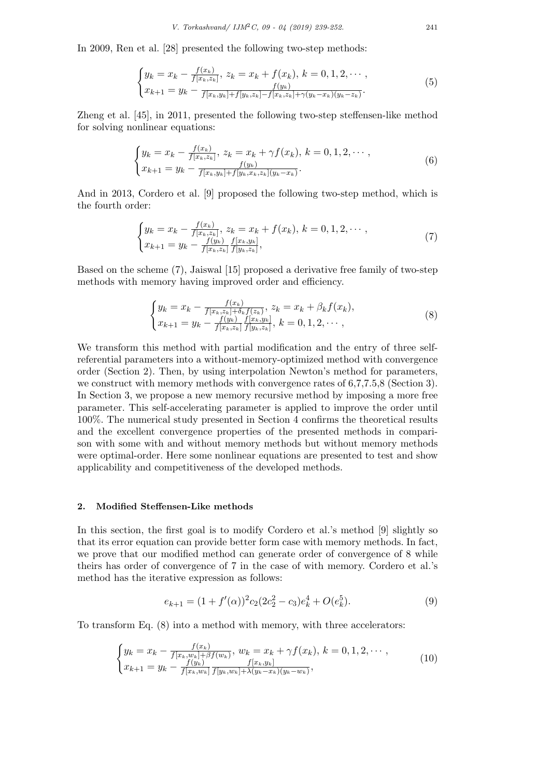In 2009, Ren et al. [28] presented the following two-step methods:

$$
\begin{cases} y_k = x_k - \frac{f(x_k)}{f(x_k, z_k]}, \ z_k = x_k + f(x_k), \ k = 0, 1, 2, \cdots, \\ x_{k+1} = y_k - \frac{f(y_k)}{f(x_k, y_k) + f(y_k, z_k) - f(x_k, z_k) + \gamma(y_k - x_k)(y_k - z_k)}. \end{cases} \tag{5}
$$

Zheng et al. [45], in 2011, presented the following two-step steffensen-like method for solving nonlinear equations:

$$
\begin{cases} y_k = x_k - \frac{f(x_k)}{f[x_k, z_k]}, \ z_k = x_k + \gamma f(x_k), \ k = 0, 1, 2, \cdots, \\ x_{k+1} = y_k - \frac{f(y_k)}{f[x_k, y_k] + f[y_k, x_k, z_k](y_k - x_k)}. \end{cases} \tag{6}
$$

And in 2013, Cordero et al. [9] proposed the following two-step method, which is the fourth order:

$$
\begin{cases} y_k = x_k - \frac{f(x_k)}{f[x_k, z_k]}, \ z_k = x_k + f(x_k), \ k = 0, 1, 2, \cdots, \\ x_{k+1} = y_k - \frac{f(y_k)}{f[x_k, z_k]} \frac{f[x_k, y_k]}{f[y_k, z_k]}, \end{cases}
$$
\n
$$
(7)
$$

Based on the scheme (7), Jaiswal [15] proposed a derivative free family of two-step methods with memory having improved order and efficiency.

$$
\begin{cases} y_k = x_k - \frac{f(x_k)}{f[x_k, z_k] + \delta_k f(z_k)}, \ z_k = x_k + \beta_k f(x_k), \\ x_{k+1} = y_k - \frac{f(y_k)}{f[x_k, z_k]} \frac{f[x_k, y_k]}{f[y_k, z_k]}, \ k = 0, 1, 2, \cdots, \end{cases} \tag{8}
$$

We transform this method with partial modification and the entry of three selfreferential parameters into a without-memory-optimized method with convergence order (Section 2). Then, by using interpolation Newton's method for parameters, we construct with memory methods with convergence rates of 6,7,7.5,8 (Section 3). In Section 3, we propose a new memory recursive method by imposing a more free parameter. This self-accelerating parameter is applied to improve the order until 100%. The numerical study presented in Section 4 confirms the theoretical results and the excellent convergence properties of the presented methods in comparison with some with and without memory methods but without memory methods were optimal-order. Here some nonlinear equations are presented to test and show applicability and competitiveness of the developed methods.

## **2. Modified Steffensen-Like methods**

In this section, the first goal is to modify Cordero et al.'s method [9] slightly so that its error equation can provide better form case with memory methods. In fact, we prove that our modified method can generate order of convergence of 8 while theirs has order of convergence of 7 in the case of with memory. Cordero et al.'s method has the iterative expression as follows:

$$
e_{k+1} = (1 + f'(\alpha))^2 c_2 (2c_2^2 - c_3) e_k^4 + O(e_k^5).
$$
\n(9)

To transform Eq. (8) into a method with memory, with three accelerators:

$$
\begin{cases} y_k = x_k - \frac{f(x_k)}{f[x_k, w_k] + \beta f(w_k)}, \ w_k = x_k + \gamma f(x_k), \ k = 0, 1, 2, \cdots, \\ x_{k+1} = y_k - \frac{f(y_k)}{f[x_k, w_k]} \frac{f[x_k, y_k]}{f[y_k, w_k] + \lambda (y_k - x_k)(y_k - w_k)}, \end{cases}
$$
(10)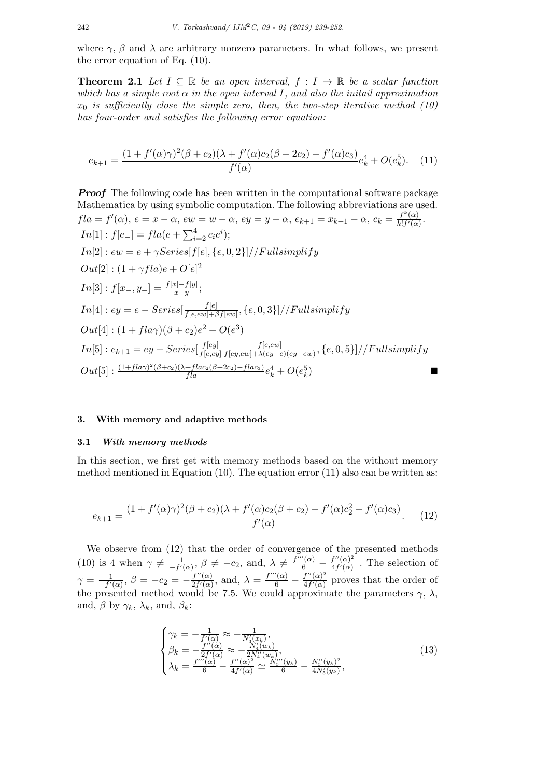where  $\gamma$ ,  $\beta$  and  $\lambda$  are arbitrary nonzero parameters. In what follows, we present the error equation of Eq. (10).

**Theorem 2.1** Let  $I \subseteq \mathbb{R}$  be an open interval,  $f : I \to \mathbb{R}$  be a scalar function *which has a simple root*  $\alpha$  *in the open interval*  $I$ *, and also the initail approximation*  $x_0$  *is sufficiently close the simple zero, then, the two-step iterative method (10) has four-order and satisfies the following error equation:*

$$
e_{k+1} = \frac{(1 + f'(\alpha)\gamma)^2 (\beta + c_2)(\lambda + f'(\alpha)c_2(\beta + 2c_2) - f'(\alpha)c_3)}{f'(\alpha)} e_k^4 + O(e_k^5). \tag{11}
$$

*Proof* The following code has been written in the computational software package Mathematica by using symbolic computation. The following abbreviations are used.  $fla = f'(\alpha), e = x - \alpha, ew = w - \alpha, ey = y - \alpha, e_{k+1} = x_{k+1} - \alpha, c_k = \frac{f^k(\alpha)}{k!f'(\alpha)}$  $\frac{f'(\alpha)}{k!f'(\alpha)}$ .  $In[1]: f[e_{-}] = fla(e + \sum_{i=2}^{4} c_{i}e^{i});$  $In [2]: ew = e + \gamma Series[f[e], \{e, 0, 2\}]/F$  *ullsimplify*  $Out[2] : (1 + \gamma f l a)e + O[e]^2$  $In[3]: f[x_-, y_-] = \frac{f[x] - f[y]}{x - y};$  $In[4]: ey = e - Series[\frac{f[e]}{f[e]g] + f[e]}$  $\frac{J[e]}{f[e,ew] + \beta f[ew]}, \{e, 0, 3\}]/\textcolor{red}{/Fullsimplify}$  $Out[4] : (1 + fla\gamma)(\beta + c_2)e^2 + O(e^3)$  $In[5]: e_{k+1} = ey - Series[\frac{f[ey]}{f[e,e]}]$  $f[e,ey]$ *f*[*e,ew*]  $\frac{f[e,ew]}{f[ey,ew]+\lambda(ey-e)(ey-ew)}, \{e,0,5\}]/\frac{F}{t}$  $Out[5]$ :  $\frac{(1+fla\gamma)^2(\beta+c_2)(\lambda+flac_2(\beta+2c_2)-flac_3)}{fla}e_k^4 + O(e_k^5)$ ) and the set of  $\blacksquare$ 

## **3. With memory and adaptive methods**

#### **3.1** *With memory methods*

In this section, we first get with memory methods based on the without memory method mentioned in Equation  $(10)$ . The equation error  $(11)$  also can be written as:

$$
e_{k+1} = \frac{(1 + f'(\alpha)\gamma)^2(\beta + c_2)(\lambda + f'(\alpha)c_2(\beta + c_2) + f'(\alpha)c_2^2 - f'(\alpha)c_3)}{f'(\alpha)}.
$$
 (12)

We observe from (12) that the order of convergence of the presented methods (10) is 4 when  $\gamma \neq \frac{1}{-f'}$  $\frac{1}{-f'(\alpha)}, \beta \neq -c_2$ , and,  $\lambda \neq \frac{f'''(\alpha)}{6} - \frac{f''(\alpha)^2}{4f'(\alpha)}$  $\frac{f''(\alpha)}{4f'(\alpha)}$ . The selection of  $\gamma = \frac{1}{-f'}$  $\frac{1}{-f'(\alpha)}, \beta = -c_2 = -\frac{f''(\alpha)}{2f'(\alpha)}$  $\frac{f''(\alpha)}{2f'(\alpha)}$ , and,  $\lambda = \frac{f'''(\alpha)}{6} - \frac{f''(\alpha)^2}{4f'(\alpha)}$  $\frac{f''(\alpha)}{4f'(\alpha)}$  proves that the order of the presented method would be 7.5. We could approximate the parameters  $\gamma$ ,  $\lambda$ , and,  $\beta$  by  $\gamma_k$ ,  $\lambda_k$ , and,  $\beta_k$ :

$$
\begin{cases}\n\gamma_k = -\frac{1}{f'(\alpha)} \approx -\frac{1}{N_3'(x_k)},\\ \beta_k = -\frac{f''(\alpha)}{2f'(\alpha)} \approx -\frac{N_4'(w_k)}{2N_4''(w_k)},\\ \lambda_k = \frac{f'''(\alpha)}{6} - \frac{f''(\alpha)^2}{4f'(\alpha)} \approx \frac{N_5''(y_k)}{6} - \frac{N_5''(y_k)^2}{4N_5'(y_k)},\n\end{cases}
$$
\n(13)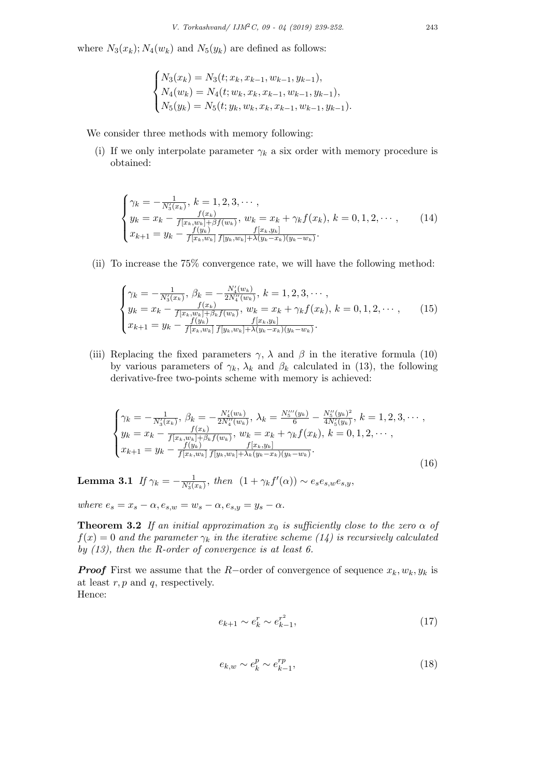where  $N_3(x_k)$ ;  $N_4(w_k)$  and  $N_5(y_k)$  are defined as follows:

$$
\begin{cases} N_3(x_k) = N_3(t; x_k, x_{k-1}, w_{k-1}, y_{k-1}), \\ N_4(w_k) = N_4(t; w_k, x_k, x_{k-1}, w_{k-1}, y_{k-1}), \\ N_5(y_k) = N_5(t; y_k, w_k, x_k, x_{k-1}, w_{k-1}, y_{k-1}). \end{cases}
$$

We consider three methods with memory following:

(i) If we only interpolate parameter  $\gamma_k$  a six order with memory procedure is obtained:

$$
\begin{cases}\n\gamma_k = -\frac{1}{N_3'(x_k)}, \ k = 1, 2, 3, \cdots, \\
y_k = x_k - \frac{f(x_k)}{f[x_k, w_k] + \beta f(w_k)}, \ w_k = x_k + \gamma_k f(x_k), \ k = 0, 1, 2, \cdots, \\
x_{k+1} = y_k - \frac{f(y_k)}{f[x_k, w_k]} \frac{f[x_k, y_k]}{f[y_k, w_k] + \lambda (y_k - x_k)(y_k - w_k)}.\n\end{cases}
$$
\n(14)

(ii) To increase the 75% convergence rate, we will have the following method:

$$
\begin{cases}\n\gamma_k = -\frac{1}{N_3'(x_k)}, \ \beta_k = -\frac{N_4'(w_k)}{2N_4''(w_k)}, \ k = 1, 2, 3, \cdots, \\
y_k = x_k - \frac{f(x_k)}{f[x_k, w_k] + \beta_k f(w_k)}, \ w_k = x_k + \gamma_k f(x_k), \ k = 0, 1, 2, \cdots, \\
x_{k+1} = y_k - \frac{f(y_k)}{f[x_k, w_k]} \frac{f[x_k, y_k]}{f[y_k, w_k] + \lambda(y_k - x_k)(y_k - w_k)}.\n\end{cases}
$$
\n(15)

(iii) Replacing the fixed parameters  $\gamma$ ,  $\lambda$  and  $\beta$  in the iterative formula (10) by various parameters of  $\gamma_k$ ,  $\lambda_k$  and  $\beta_k$  calculated in (13), the following derivative-free two-points scheme with memory is achieved:

$$
\begin{cases}\n\gamma_k = -\frac{1}{N_3'(x_k)}, \ \beta_k = -\frac{N_4'(w_k)}{2N_4''(w_k)}, \ \lambda_k = \frac{N_5''(y_k)}{6} - \frac{N_5'(y_k)^2}{4N_5'(y_k)}, \ k = 1, 2, 3, \cdots, \\
y_k = x_k - \frac{f(x_k)}{f(x_k, w_k) + \beta_k f(w_k)}, \ w_k = x_k + \gamma_k f(x_k), \ k = 0, 1, 2, \cdots, \\
x_{k+1} = y_k - \frac{f(y_k)}{f(x_k, w_k)} \frac{f(x_k, y_k)}{f(y_k, w_k) + \lambda_k (y_k - x_k)(y_k - w_k)}.\n\end{cases}
$$
\n(16)

**Lemma 3.1** *If*  $\gamma_k = -\frac{1}{N_k}$  $\frac{1}{N'_3(x_k)}$ , *then*  $(1 + \gamma_k f'(\alpha)) \sim e_s e_{s,w} e_{s,y}$ ,

*where*  $e_s = x_s - \alpha$ ,  $e_{s,w} = w_s - \alpha$ ,  $e_{s,y} = y_s - \alpha$ .

**Theorem 3.2** *If an initial approximation*  $x_0$  *is sufficiently close to the zero*  $\alpha$  *of*  $f(x) = 0$  *and the parameter*  $\gamma_k$  *in the iterative scheme* (14) *is recursively calculated by (13), then the R-order of convergence is at least 6.*

*Proof* First we assume that the *R−*order of convergence of sequence *xk, wk, y<sup>k</sup>* is at least *r, p* and *q*, respectively. Hence:

$$
e_{k+1} \sim e_k^r \sim e_{k-1}^{r^2},\tag{17}
$$

$$
e_{k,w} \sim e_k^p \sim e_{k-1}^{rp},\tag{18}
$$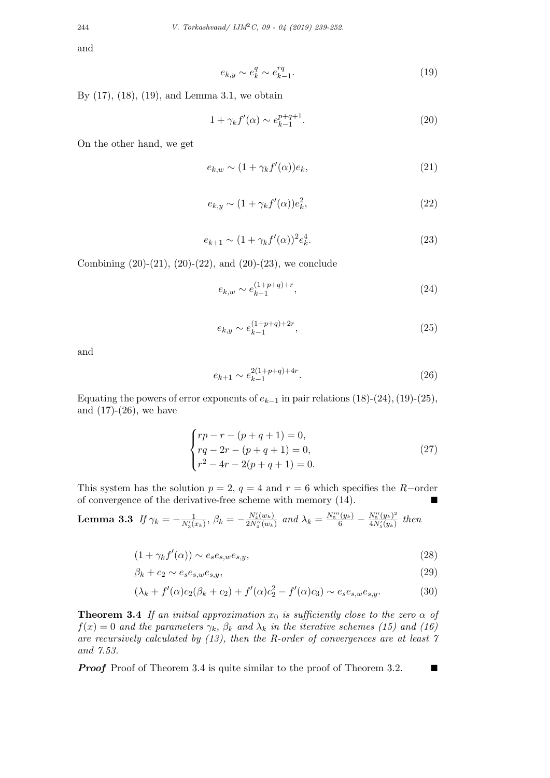and

$$
e_{k,y} \sim e_k^q \sim e_{k-1}^{rq}.\tag{19}
$$

By (17), (18), (19), and Lemma 3.1, we obtain

$$
1 + \gamma_k f'(\alpha) \sim e_{k-1}^{p+q+1}.\tag{20}
$$

On the other hand, we get

$$
e_{k,w} \sim (1 + \gamma_k f'(\alpha)) e_k,\tag{21}
$$

$$
e_{k,y} \sim (1 + \gamma_k f'(\alpha)) e_k^2,\tag{22}
$$

$$
e_{k+1} \sim (1 + \gamma_k f'(\alpha))^2 e_k^4.
$$
 (23)

Combining  $(20)-(21)$ ,  $(20)-(22)$ , and  $(20)-(23)$ , we conclude

$$
e_{k,w} \sim e_{k-1}^{(1+p+q)+r},\tag{24}
$$

$$
e_{k,y} \sim e_{k-1}^{(1+p+q)+2r},\tag{25}
$$

and

$$
e_{k+1} \sim e_{k-1}^{2(1+p+q)+4r}.\tag{26}
$$

Equating the powers of error exponents of  $e_{k-1}$  in pair relations (18)-(24), (19)-(25), and  $(17)-(26)$ , we have

$$
\begin{cases}\nrp - r - (p + q + 1) = 0, \\
rq - 2r - (p + q + 1) = 0, \\
r^2 - 4r - 2(p + q + 1) = 0.\n\end{cases}
$$
\n(27)

This system has the solution  $p = 2$ ,  $q = 4$  and  $r = 6$  which specifies the *R−*order of convergence of the derivative-free scheme with memory  $(14)$ .

**Lemma 3.3** If 
$$
\gamma_k = -\frac{1}{N_3'(x_k)}
$$
,  $\beta_k = -\frac{N_4'(w_k)}{2N_4''(w_k)}$  and  $\lambda_k = \frac{N_5''(y_k)}{6} - \frac{N_5''(y_k)^2}{4N_5'(y_k)}$  then

$$
(1 + \gamma_k f'(\alpha)) \sim e_s e_{s,w} e_{s,y},\tag{28}
$$

$$
\beta_k + c_2 \sim e_s e_{s,w} e_{s,y},\tag{29}
$$

$$
(\lambda_k + f'(\alpha)c_2(\beta_k + c_2) + f'(\alpha)c_2^2 - f'(\alpha)c_3) \sim e_s e_{s,w} e_{s,y}.
$$
 (30)

**Theorem 3.4** *If an initial approximation*  $x_0$  *is sufficiently close to the zero*  $\alpha$  *of*  $f(x) = 0$  *and the parameters*  $\gamma_k$ ,  $\beta_k$  *and*  $\lambda_k$  *in the iterative schemes* (15) *and* (16) *are recursively calculated by (13), then the R-order of convergences are at least 7 and 7.53.*

*Proof* Proof of Theorem 3.4 is quite similar to the proof of Theorem 3.2. ■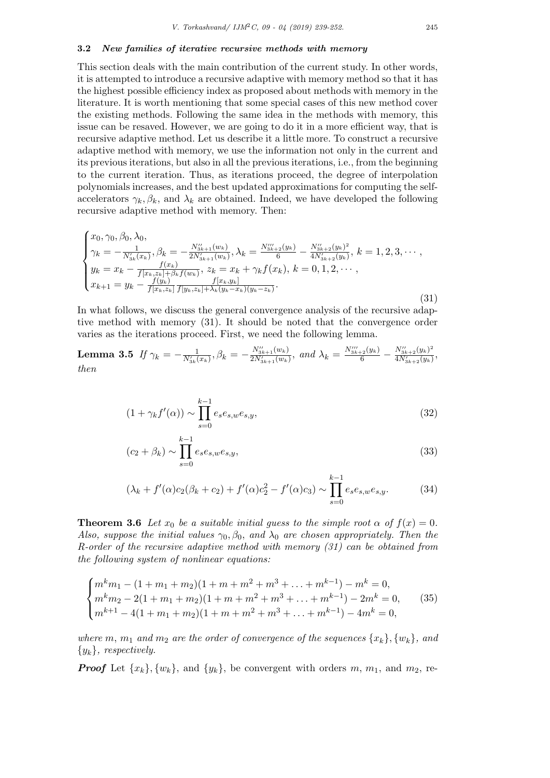### **3.2** *New families of iterative recursive methods with memory*

This section deals with the main contribution of the current study. In other words, it is attempted to introduce a recursive adaptive with memory method so that it has the highest possible efficiency index as proposed about methods with memory in the literature. It is worth mentioning that some special cases of this new method cover the existing methods. Following the same idea in the methods with memory, this issue can be resaved. However, we are going to do it in a more efficient way, that is recursive adaptive method. Let us describe it a little more. To construct a recursive adaptive method with memory, we use the information not only in the current and its previous iterations, but also in all the previous iterations, i.e., from the beginning to the current iteration. Thus, as iterations proceed, the degree of interpolation polynomials increases, and the best updated approximations for computing the selfaccelerators  $\gamma_k, \beta_k$ , and  $\lambda_k$  are obtained. Indeed, we have developed the following recursive adaptive method with memory. Then:

$$
\begin{cases}\nx_0, \gamma_0, \beta_0, \lambda_0, \\
\gamma_k = -\frac{1}{N'_{3k}(x_k)}, \beta_k = -\frac{N''_{3k+1}(w_k)}{2N'_{3k+1}(w_k)}, \lambda_k = \frac{N''_{3k+2}(y_k)}{6} - \frac{N''_{3k+2}(y_k)^2}{4N'_{3k+2}(y_k)}, k = 1, 2, 3, \cdots, \\
y_k = x_k - \frac{f(x_k)}{f[x_k, z_k] + \beta_k f(w_k)}, z_k = x_k + \gamma_k f(x_k), k = 0, 1, 2, \cdots, \\
x_{k+1} = y_k - \frac{f(y_k)}{f[x_k, z_k] + \beta_k (y_k - x_k)(y_k - z_k)}.\n\end{cases}
$$
\n(31)

In what follows, we discuss the general convergence analysis of the recursive adaptive method with memory (31). It should be noted that the convergence order varies as the iterations proceed. First, we need the following lemma.

**Lemma 3.5** If 
$$
\gamma_k = -\frac{1}{N'_{3k}(x_k)}
$$
,  $\beta_k = -\frac{N''_{3k+1}(w_k)}{2N'_{3k+1}(w_k)}$ , and  $\lambda_k = \frac{N''_{3k+2}(y_k)}{6} - \frac{N''_{3k+2}(y_k)^2}{4N'_{3k+2}(y_k)}$ ,  
then

$$
(1 + \gamma_k f'(\alpha)) \sim \prod_{s=0}^{k-1} e_s e_{s,w} e_{s,y},\tag{32}
$$

$$
(c_2 + \beta_k) \sim \prod_{s=0}^{k-1} e_s e_{s,w} e_{s,y},
$$
\n(33)

$$
(\lambda_k + f'(\alpha)c_2(\beta_k + c_2) + f'(\alpha)c_2^2 - f'(\alpha)c_3) \sim \prod_{s=0}^{k-1} e_s e_{s,w} e_{s,y}.
$$
 (34)

**Theorem 3.6** *Let*  $x_0$  *be a suitable initial guess to the simple root*  $\alpha$  *of*  $f(x) = 0$ *. Also, suppose the initial values γ*0*, β*0*, and λ*<sup>0</sup> *are chosen appropriately. Then the R-order of the recursive adaptive method with memory (31) can be obtained from the following system of nonlinear equations:*

$$
\begin{cases}\nm^k m_1 - (1 + m_1 + m_2)(1 + m + m^2 + m^3 + \dots + m^{k-1}) - m^k = 0, \\
m^k m_2 - 2(1 + m_1 + m_2)(1 + m + m^2 + m^3 + \dots + m^{k-1}) - 2m^k = 0, \\
m^{k+1} - 4(1 + m_1 + m_2)(1 + m + m^2 + m^3 + \dots + m^{k-1}) - 4m^k = 0,\n\end{cases}
$$
\n(35)

*where*  $m, m_1$  *and*  $m_2$  *are the order of convergence of the sequences*  $\{x_k\}, \{w_k\}$ *, and {yk}, respectively.*

*Proof* Let  $\{x_k\}$ ,  $\{w_k\}$ , and  $\{y_k\}$ , be convergent with orders  $m, m_1$ , and  $m_2$ , re-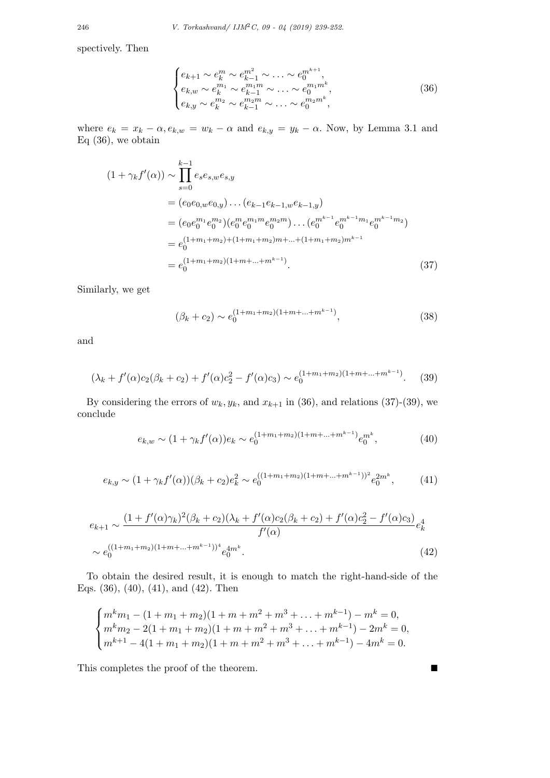spectively. Then

$$
\begin{cases} e_{k+1} \sim e_k^m \sim e_{k-1}^{m^2} \sim \ldots \sim e_0^{m^{k+1}}, \\ e_{k,w} \sim e_k^{m_1} \sim e_{k-1}^{m_1 m} \sim \ldots \sim e_0^{m_1 m^k}, \\ e_{k,y} \sim e_k^{m_2} \sim e_{k-1}^{m_2 m} \sim \ldots \sim e_0^{m_2 m^k}, \end{cases} (36)
$$

where  $e_k = x_k - \alpha$ ,  $e_{k,w} = w_k - \alpha$  and  $e_{k,y} = y_k - \alpha$ . Now, by Lemma 3.1 and Eq  $(36)$ , we obtain

$$
(1 + \gamma_k f'(\alpha)) \sim \prod_{s=0}^{k-1} e_s e_{s,w} e_{s,y}
$$
  
=  $(e_0 e_{0,w} e_{0,y}) \dots (e_{k-1} e_{k-1,w} e_{k-1,y})$   
=  $(e_0 e_0^{m_1} e_0^{m_2}) (e_0^m e_0^{m_1 m} e_0^{m_2 m}) \dots (e_0^{m^{k-1}} e_0^{m^{k-1} m_1} e_0^{m^{k-1} m_2})$   
=  $e_0^{(1+m_1+m_2)+(1+m_1+m_2)m+...+(1+m_1+m_2)m^{k-1}}$   
=  $e_0^{(1+m_1+m_2)(1+m+...+m^{k-1})}$ . (37)

Similarly, we get

$$
(\beta_k + c_2) \sim e_0^{(1+m_1+m_2)(1+m+\dots+m^{k-1})}, \qquad (38)
$$

and

$$
(\lambda_k + f'(\alpha)c_2(\beta_k + c_2) + f'(\alpha)c_2^2 - f'(\alpha)c_3) \sim e_0^{(1+m_1+m_2)(1+m+\dots+m^{k-1})}.
$$
 (39)

By considering the errors of  $w_k, y_k$ , and  $x_{k+1}$  in (36), and relations (37)-(39), we conclude

$$
e_{k,w} \sim (1 + \gamma_k f'(\alpha)) e_k \sim e_0^{(1+m_1+m_2)(1+m+\ldots+m^{k-1})} e_0^{m^k},\tag{40}
$$

$$
e_{k,y} \sim (1 + \gamma_k f'(\alpha)) (\beta_k + c_2) e_k^2 \sim e_0^{((1 + m_1 + m_2)(1 + m + \dots + m^{k-1}))^2} e_0^{2m^k}, \tag{41}
$$

$$
e_{k+1} \sim \frac{(1+f'(\alpha)\gamma_k)^2(\beta_k+c_2)(\lambda_k+f'(\alpha)c_2(\beta_k+c_2)+f'(\alpha)c_2^2-f'(\alpha)c_3)}{f'(\alpha)}e_k^4
$$
  
\$\sim e\_0^{((1+m\_1+m\_2)(1+m+...+m^{k-1}))^4}e\_0^{4m^k}.\n\tag{42}

To obtain the desired result, it is enough to match the right-hand-side of the Eqs. (36), (40), (41), and (42). Then

$$
\begin{cases}\nm^k m_1 - (1 + m_1 + m_2)(1 + m + m^2 + m^3 + \dots + m^{k-1}) - m^k = 0, \\
m^k m_2 - 2(1 + m_1 + m_2)(1 + m + m^2 + m^3 + \dots + m^{k-1}) - 2m^k = 0, \\
m^{k+1} - 4(1 + m_1 + m_2)(1 + m + m^2 + m^3 + \dots + m^{k-1}) - 4m^k = 0.\n\end{cases}
$$

This completes the proof of the theorem.  $\blacksquare$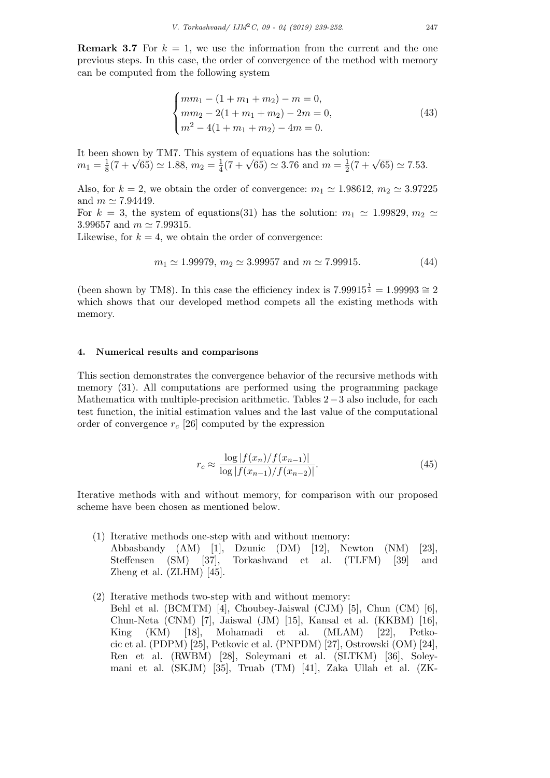**Remark 3.7** For  $k = 1$ , we use the information from the current and the one previous steps. In this case, the order of convergence of the method with memory can be computed from the following system

$$
\begin{cases}\nmm_1 - (1 + m_1 + m_2) - m = 0, \\
mn_2 - 2(1 + m_1 + m_2) - 2m = 0, \\
m^2 - 4(1 + m_1 + m_2) - 4m = 0.\n\end{cases}
$$
\n(43)

It been shown by TM7. This system of equations has the solution:  $m_1 = \frac{1}{8}$  $\frac{1}{8}(7 + \sqrt{65}) \simeq 1.88, m_2 = \frac{1}{4}$  $\frac{1}{4}(7 + \sqrt{65}) \simeq 3.76$  and  $m = \frac{1}{2}$  $\frac{1}{2}(7 + \sqrt{65}) \simeq 7.53.$ 

Also, for  $k = 2$ , we obtain the order of convergence:  $m_1 \approx 1.98612$ ,  $m_2 \approx 3.97225$ and  $m \approx 7.94449$ .

For  $k = 3$ , the system of equations(31) has the solution:  $m_1 \approx 1.99829$ ,  $m_2 \approx$ 3*.*99657 and *m ≃* 7*.*99315.

Likewise, for  $k = 4$ , we obtain the order of convergence:

$$
m_1 \simeq 1.99979, m_2 \simeq 3.99957 \text{ and } m \simeq 7.99915.
$$
 (44)

(been shown by TM8). In this case the efficiency index is  $7.99915^{\frac{1}{3}} = 1.99993 \approx 2$ which shows that our developed method compets all the existing methods with memory.

## **4. Numerical results and comparisons**

This section demonstrates the convergence behavior of the recursive methods with memory (31). All computations are performed using the programming package Mathematica with multiple-precision arithmetic. Tables 2*−*3 also include, for each test function, the initial estimation values and the last value of the computational order of convergence *r<sup>c</sup>* [26] computed by the expression

$$
r_c \approx \frac{\log|f(x_n)/f(x_{n-1})|}{\log|f(x_{n-1})/f(x_{n-2})|}.\tag{45}
$$

Iterative methods with and without memory, for comparison with our proposed scheme have been chosen as mentioned below.

- (1) Iterative methods one-step with and without memory: Abbasbandy (AM) [1], Dzunic (DM) [12], Newton (NM) [23], Steffensen (SM) [37], Torkashvand et al. (TLFM) [39] and Zheng et al. (ZLHM) [45].
- (2) Iterative methods two-step with and without memory: Behl et al. (BCMTM) [4], Choubey-Jaiswal (CJM) [5], Chun (CM) [6], Chun-Neta (CNM) [7], Jaiswal (JM) [15], Kansal et al. (KKBM) [16], King (KM) [18], Mohamadi et al. (MLAM) [22], Petkocic et al. (PDPM) [25], Petkovic et al. (PNPDM) [27], Ostrowski (OM) [24], Ren et al. (RWBM) [28], Soleymani et al. (SLTKM) [36], Soleymani et al. (SKJM) [35], Truab (TM) [41], Zaka Ullah et al. (ZK-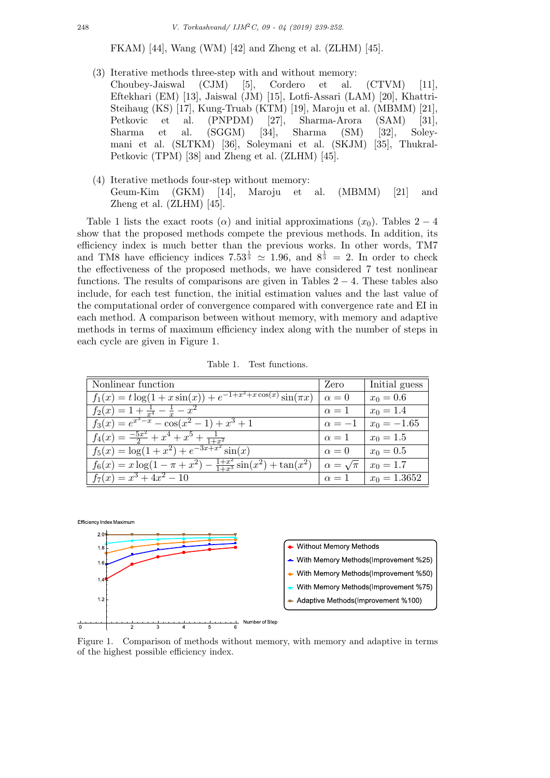FKAM) [44], Wang (WM) [42] and Zheng et al. (ZLHM) [45].

- (3) Iterative methods three-step with and without memory: Choubey-Jaiswal (CJM) [5], Cordero et al. (CTVM) [11], Eftekhari (EM) [13], Jaiswal (JM) [15], Lotfi-Assari (LAM) [20], Khattri-Steihaug (KS) [17], Kung-Truab (KTM) [19], Maroju et al. (MBMM) [21], Petkovic et al. (PNPDM) [27], Sharma-Arora (SAM) [31], Sharma et al. (SGGM) [34], Sharma (SM) [32], Soleymani et al. (SLTKM) [36], Soleymani et al. (SKJM) [35], Thukral-Petkovic (TPM) [38] and Zheng et al. (ZLHM) [45].
- (4) Iterative methods four-step without memory: Geum-Kim (GKM) [14], Maroju et al. (MBMM) [21] and Zheng et al. (ZLHM) [45].

Table 1 lists the exact roots ( $\alpha$ ) and initial approximations ( $x_0$ ). Tables 2 − 4 show that the proposed methods compete the previous methods. In addition, its efficiency index is much better than the previous works. In other words, TM7 and TM8 have efficiency indices  $7.53^{\frac{1}{3}} \approx 1.96$ , and  $8^{\frac{1}{3}} = 2$ . In order to check the effectiveness of the proposed methods, we have considered 7 test nonlinear functions. The results of comparisons are given in Tables 2 *−* 4. These tables also include, for each test function, the initial estimation values and the last value of the computational order of convergence compared with convergence rate and EI in each method. A comparison between without memory, with memory and adaptive methods in terms of maximum efficiency index along with the number of steps in each cycle are given in Figure 1.

| Nonlinear function                                                                      | Zero                | Initial guess  |
|-----------------------------------------------------------------------------------------|---------------------|----------------|
| $f_1(x) = t \log(1 + x \sin(x)) + e^{-1 + x^2 + x \cos(x)} \sin(\pi x)$                 | $\alpha = 0$        | $x_0 = 0.6$    |
| $f_2(x) = 1 + \frac{1}{x^4} - \frac{1}{x} - x^2$                                        | $\alpha=1$          | $x_0 = 1.4$    |
| $f_3(x) = e^{x^3-x} - \cos(x^2-1) + x^3 + 1$                                            | $\alpha = -1$       | $x_0 = -1.65$  |
| $f_4(x) = \frac{-5x^2}{2} + x^4 + x^5 + \frac{1}{1+x^2}$                                | $\alpha=1$          | $x_0 = 1.5$    |
| $f_5(x) = \log(1 + x^2) + e^{-3x + x^2} \sin(x)$                                        | $\alpha = 0$        | $x_0 = 0.5$    |
| $\overline{f_6(x)} = x \log(1 - \pi + x^2) - \frac{1+x^2}{1+x^3} \sin(x^2) + \tan(x^2)$ | $\alpha=\sqrt{\pi}$ | $x_0 = 1.7$    |
| $f_7(x) = x^3 + 4x^2 - 10$                                                              | $\alpha=1$          | $x_0 = 1.3652$ |



Figure 1. Comparison of methods without memory, with memory and adaptive in terms of the highest possible efficiency index.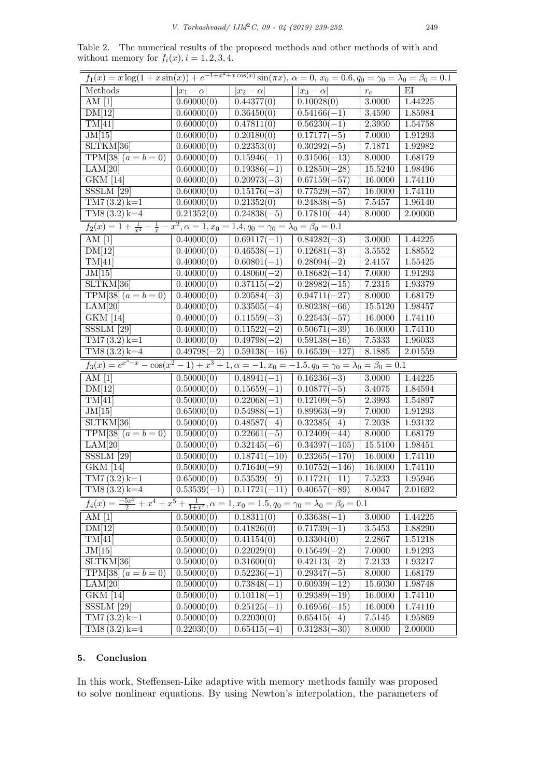Table 2. The numerical results of the proposed methods and other methods of with and without memory for  $f_i(x)$ ,  $i = 1, 2, 3, 4$ .

| $f_1(x) = x \log(1 + x \sin(x)) + e^{-1 + x^2 + x \cos(x)} \sin(\pi x), \ \alpha = 0, x_0 = 0.6, q_0 = \gamma_0 = \lambda_0 = \beta_0 = 0.1$ |                         |                             |                           |            |         |  |
|----------------------------------------------------------------------------------------------------------------------------------------------|-------------------------|-----------------------------|---------------------------|------------|---------|--|
| Methods                                                                                                                                      | $ x_1-\alpha $          | $ x_2-\alpha $              | $ x_3-\alpha $            | $r_{c}$    | ΕI      |  |
| AM $[1]$                                                                                                                                     | 0.60000(0)              | 0.44377(0)                  | 0.10028(0)                | 3.0000     | 1.44225 |  |
| DM[12]                                                                                                                                       | 0.60000(0)              | 0.36450(0)                  | $0.54166(-1)$             | 3.4590     | 1.85984 |  |
| TM[41]                                                                                                                                       | 0.60000(0)              | 0.47811(0)                  | $0.56230(-1)$             | 2.3950     | 1.54758 |  |
| JM[15]                                                                                                                                       | 0.60000(0)              | 0.20180(0)                  | $0.17177(-5)$             | 7.0000     | 1.91293 |  |
| SLTKM[36]                                                                                                                                    | $\overline{0.60000}(0)$ | 0.22353(0)                  | $0.30292(-5)$             | 7.1871     | 1.92982 |  |
| $TPM\overline{38}(a=b=0)$                                                                                                                    | $\overline{0.600}00(0)$ | $\overline{0.15946(-1)}$    | $0.31506(-13)$            | 8.0000     | 1.68179 |  |
| LAM[20]                                                                                                                                      | 0.60000(0)              | $0.19386(-1)$               | $0.12850(-28)$            | 15.5240    | 1.98496 |  |
| <b>GKM</b> [14]                                                                                                                              | $\overline{0.60000(0)}$ | $0.20973(-3)$               | $0.67159(-57)$            | 16.0000    | 1.74110 |  |
| $SSSLM$ [29]                                                                                                                                 | 0.60000(0)              | $0.15176(-3)$               | $0.77529(-57)$            | 16.0000    | 1.74110 |  |
| $TM7(3.2) k=1$                                                                                                                               | 0.60000(0)              | 0.21352(0)                  | $0.24838(-5)$             | 7.5457     | 1.96140 |  |
| $\overline{TMS(3.2)}\,k=4$                                                                                                                   | 0.21352(0)              | $0.24838(-5)$               | $0.17810(-44)$            | 8.0000     | 2.00000 |  |
| $f_2(x) = 1 + \frac{1}{x^4} - \frac{1}{x} - x^2, \alpha = 1, x_0 = 1.4, q_0 = \gamma_0 = \lambda_0 = \beta_0 = 0.1$                          |                         |                             |                           |            |         |  |
| AM $[1]$                                                                                                                                     | 0.40000(0)              | $0.69117(-1)$               | $0.84282(-3)$             | 3.0000     | 1.44225 |  |
| DM[12]                                                                                                                                       | 0.40000(0)              | $0.46538(-1)$               | $0.12681(-3)$             | $3.5552\,$ | 1.88552 |  |
| TM[41]                                                                                                                                       | 0.40000(0)              | $0.60801(-1)$               | $0.28094(-2)$             | 2.4157     | 1.55425 |  |
| JM[15]                                                                                                                                       | 0.40000(0)              | $0.48060(-2)$               | $0.18682(-14)$            | 7.0000     | 1.91293 |  |
| SLTKM[36]                                                                                                                                    | 0.40000(0)              | $0.37115(-2)$               | $0.28982(-15)$            | 7.2315     | 1.93379 |  |
| $TPM[38] (a = b = 0)$                                                                                                                        | $\overline{0.40000}(0)$ | $0.20584(-3)$               | $\overline{0.9}4711(-27)$ | 8.0000     | 1.68179 |  |
| LAM[20]                                                                                                                                      | 0.40000(0)              | $0.33505(-4)$               | $0.80238(-66)$            | 15.5120    | 1.98457 |  |
| GKM [14]                                                                                                                                     | 0.40000(0)              | $0.11559(-3)$               | $0.22543(-57)$            | 16.0000    | 1.74110 |  |
| $SSSLM$ [29]                                                                                                                                 | 0.40000(0)              | $0.11522(-2)$               | $0.50671(-39)$            | 16.0000    | 1.74110 |  |
| $TM7(3.2) k=1$                                                                                                                               | 0.40000(0)              | $0.49798(-2)$               | $0.59138(-16)$            | 7.5333     | 1.96033 |  |
| $TMS(3.2) k=4$                                                                                                                               | $0.49798(-2)$           | $0.59138(-16)$              | $0.16539(-127)$           | 8.1885     | 2.01559 |  |
| $f_3(x) = e^{x^3 - x} - \cos(x^2 - 1) + x^3 + 1, \alpha = -1, x_0 = -1.5, q_0 = \gamma_0 = \lambda_0 = \beta_0 = 0.1$                        |                         |                             |                           |            |         |  |
| AM $[1]$                                                                                                                                     | 0.50000(0)              | $\overline{0.48941(-1)}$    | $0.16236(-3)$             | 3.0000     | 1.44225 |  |
| DM[12]                                                                                                                                       | 0.50000(0)              | $0.15659(-1)$               | $0.10877(-5)$             | 3.4075     | 1.84594 |  |
| TM[41]                                                                                                                                       | 0.50000(0)              | $0.22068(-1)$               | $0.12109(-5)$             | 2.3993     | 1.54897 |  |
| JM[15]                                                                                                                                       | 0.65000(0)              | $0.54988(-1)$               | $0.89963(-9)$             | 7.0000     | 1.91293 |  |
| SLTKM[36]                                                                                                                                    | 0.50000(0)              | $0.48587(-4)$               | $0.32385(-4)$             | 7.2038     | 1.93132 |  |
| TPM[38] $(a = b = 0)$                                                                                                                        | 0.50000(0)              | $0.22661(-5)$               | $0.12409(-44)$            | 8.0000     | 1.68179 |  |
| LAM[20]                                                                                                                                      | $\overline{0.50000(0)}$ | $0.32145(-6)$               | $0.34397(-105)$           | 15.5100    | 1.98451 |  |
| $SSSLM$ [29]                                                                                                                                 | $\overline{0.50000(0)}$ | $0.18741(-10)$              | $0.23265(-170)$           | 16.0000    | 1.74110 |  |
| GKM [14]                                                                                                                                     | 0.50000(0)              | $0.71640(-9)$               | $0.10752(-146)$           | 16.0000    | 1.74110 |  |
| $TM7(3.2) k=1$                                                                                                                               | 0.65000(0)              | $0.53539(-9)$               | $0.11721(-11)$            | 7.5233     | 1.95946 |  |
| $TMS(3.2) k=4$                                                                                                                               | $0.53539(-1)$           | $0.11721(-11)$ 0.40657(-89) |                           | 8.0047     | 2.01692 |  |
| $f_4(x) = \frac{-5x^2}{2} + x^4 + x^5 + \frac{1}{1+x^2}, \alpha = 1, x_0 = 1.5, q_0 = \gamma_0 = \lambda_0 = \beta_0 = 0.1$                  |                         |                             |                           |            |         |  |
| AM $[1]$                                                                                                                                     | 0.50000(0)              | 0.18311(0)                  | $0.33638(-1)$             | 3.0000     | 1.44225 |  |
| DM[12]                                                                                                                                       | 0.50000(0)              | $\overline{0.41826}(0)$     | $0.71739(-1)$             | 3.5453     | 1.88290 |  |
| TM[41]                                                                                                                                       | 0.50000(0)              | 0.41154(0)                  | 0.13304(0)                | 2.2867     | 1.51218 |  |
| JM[15]                                                                                                                                       | 0.50000(0)              | 0.22029(0)                  | $0.15649(-2)$             | 7.0000     | 1.91293 |  |
| SLTKM[36]                                                                                                                                    | 0.50000(0)              | 0.31600(0)                  | $0.42113(-2)$             | 7.2133     | 1.93217 |  |
| TPM[38] $(a = b = 0)$                                                                                                                        | 0.50000(0)              | $0.52236(-1)$               | $0.29347(-5)$             | 8.0000     | 1.68179 |  |
| LAM[20]                                                                                                                                      | 0.50000(0)              | $0.73848(-1)$               | $0.60939(-12)$            | 15.6030    | 1.98748 |  |
| GKM [14]                                                                                                                                     | 0.50000(0)              | $0.10118(-1)$               | $0.29389(-19)$            | 16.0000    | 1.74110 |  |
| $SSSLM$ [29]                                                                                                                                 | 0.50000(0)              | $0.25125(-1)$               | $0.16956(-15)$            | 16.0000    | 1.74110 |  |
| $TM7(3.2) k=1$                                                                                                                               | 0.50000(0)              | 0.22030(0)                  | $0.65415(-4)$             | 7.5145     | 1.95869 |  |
| $\overline{TMS(3.2)}\,k=4$                                                                                                                   | $\overline{0.22030}(0)$ | $0.65415(-4)$               | $0.31283(-30)$            | 8.0000     | 2.00000 |  |

# **5. Conclusion**

In this work, Steffensen-Like adaptive with memory methods family was proposed to solve nonlinear equations. By using Newton's interpolation, the parameters of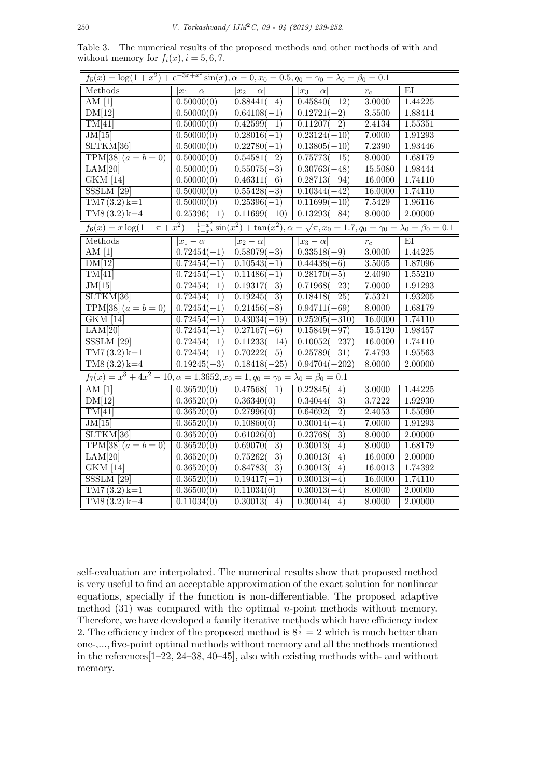Table 3. The numerical results of the proposed methods and other methods of with and without memory for  $f_i(x)$ ,  $i = 5, 6, 7$ .

| $f_5(x) = \log(1+x^2) + e^{-3x+x^2}\sin(x), \alpha = 0, x_0 = 0.5, q_0 = \gamma_0 = \lambda_0 = \beta_0 = 0.1$                                           |                          |                          |                           |         |         |  |
|----------------------------------------------------------------------------------------------------------------------------------------------------------|--------------------------|--------------------------|---------------------------|---------|---------|--|
| Methods                                                                                                                                                  | $ x_1-\alpha $           | $ x_2-\alpha $           | $ x_3-\alpha $            | $r_c\;$ | EI      |  |
| AM <sub>1</sub>                                                                                                                                          | 0.50000(0)               | $0.88441(-4)$            | $0.45840(-12)$            | 3.0000  | 1.44225 |  |
| DM[12]                                                                                                                                                   | 0.50000(0)               | $0.64108(-1)$            | $0.12721(-2)$             | 3.5500  | 1.88414 |  |
| TM[41]                                                                                                                                                   | 0.50000(0)               | $0.42599(-1)$            | $0.11207(-2)$             | 2.4134  | 1.55351 |  |
| JM[15]                                                                                                                                                   | 0.50000(0)               | $0.28016(-1)$            | $0.23124(-10)$            | 7.0000  | 1.91293 |  |
| SLTKM[36]                                                                                                                                                | 0.50000(0)               | $\overline{0.22780(-1)}$ | $\overline{0.13805(-10)}$ | 7.2390  | 1.93446 |  |
| $TPM[38](a = b = 0)$                                                                                                                                     | 0.50000(0)               | $0.54581(-2)$            | $0.75773(-15)$            | 8.0000  | 1.68179 |  |
| LAM[20]                                                                                                                                                  | 0.50000(0)               | $0.55075(-3)$            | $0.30763(-48)$            | 15.5080 | 1.98444 |  |
| <b>GKM</b> [14]                                                                                                                                          | 0.50000(0)               | $0.46311(-6)$            | $0.28713(-94)$            | 16.0000 | 1.74110 |  |
| $SSSLM$ [29]                                                                                                                                             | $\overline{0.5000}0(0)$  | $\overline{0.55428(-3)}$ | $0.10344(-42)$            | 16.0000 | 1.74110 |  |
| $TM7(3.2) k=1$                                                                                                                                           | 0.50000(0)               | $\overline{0.25396(-1)}$ | $0.11699(-10)$            | 7.5429  | 1.96116 |  |
| $TM8(3.2) k=4$                                                                                                                                           | $0.25396(-1)$            | $0.11699(-10)$           | $0.13293(-84)$            | 8.0000  | 2.00000 |  |
| $f_6(x) = x \log(1 - \pi + x^2) - \frac{1+x^2}{1+x^3} \sin(x^2) + \tan(x^2), \alpha = \sqrt{\pi}, x_0 = 1.7, q_0 = \gamma_0 = \lambda_0 = \beta_0 = 0.1$ |                          |                          |                           |         |         |  |
| Methods                                                                                                                                                  | $ x_1-\alpha $           | $ x_2-\alpha $           | $ x_3-\alpha $            | $r_{c}$ | ΕI      |  |
| AM $[1]$                                                                                                                                                 | $0.72454(-1)$            | $0.58079(-3)$            | $0.33518(-9)$             | 3.0000  | 1.44225 |  |
| DM[12]                                                                                                                                                   | $0.72454(-1)$            | $0.10543(-1)$            | $0.44438(-6)$             | 3.5005  | 1.87096 |  |
| TM[41]                                                                                                                                                   | $0.72454(-1)$            | $0.11486(-1)$            | $0.28170(-5)$             | 2.4090  | 1.55210 |  |
| JM[15]                                                                                                                                                   | $0.72454(-1)$            | $0.19317(-3)$            | $0.71968(-23)$            | 7.0000  | 1.91293 |  |
| SLTKM[36]                                                                                                                                                | $0.72454(-1)$            | $\overline{0.19245(-3)}$ | $0.18418(-25)$            | 7.5321  | 1.93205 |  |
| $TPM[38] (a = b = 0)$                                                                                                                                    | $0.72454(-1)$            | $0.21456(-8)$            | $0.94711(-69)$            | 8.0000  | 1.68179 |  |
| $\overline{\text{GKM}}$ [14]                                                                                                                             | $\overline{0.72454(-1)}$ | $0.43034(-19)$           | $0.25205(-310)$           | 16.0000 | 1.74110 |  |
| LAM[20]                                                                                                                                                  | $\overline{0.7245}4(-1)$ | $0.27167(-6)$            | $0.15849(-97)$            | 15.5120 | 1.98457 |  |
| $SSSLM$ [29]                                                                                                                                             | $0.72454(-1)$            | $0.11233(-14)$           | $0.10052(-237)$           | 16.0000 | 1.74110 |  |
| $TM7(3.2) k=1$                                                                                                                                           | $0.72454(-1)$            | $0.70222(-5)$            | $0.25789(-31)$            | 7.4793  | 1.95563 |  |
| $\overline{TMS(3.2)k=4}$                                                                                                                                 | $0.19245(-3)$            | $0.18418(-25)$           | $0.94704(-202)$           | 8.0000  | 2.00000 |  |
| $f_7(x) = x^3 + 4x^2 - 10, \alpha = 1.3652, x_0 = 1, q_0 = \gamma_0 = \lambda_0 = \beta_0 = 0.1$                                                         |                          |                          |                           |         |         |  |
| AM $[1]$                                                                                                                                                 | 0.36520(0)               | $0.47568(-1)$            | $0.22845(-4)$             | 3.0000  | 1.44225 |  |
| DM[12]                                                                                                                                                   | 0.36520(0)               | 0.36340(0)               | $0.34044(-3)$             | 3.7222  | 1.92930 |  |
| TM[41]                                                                                                                                                   | 0.36520(0)               | 0.27996(0)               | $0.64692(-2)$             | 2.4053  | 1.55090 |  |
| JM[15]                                                                                                                                                   | 0.36520(0)               | 0.10860(0)               | $0.30014(-4)$             | 7.0000  | 1.91293 |  |
| SLTKM[36]                                                                                                                                                | 0.36520(0)               | 0.61026(0)               | $0.23768(-3)$             | 8.0000  | 2.00000 |  |
| $TP\overline{M[38](a=b=0)}$                                                                                                                              | 0.36520(0)               | $0.69070(-3)$            | $\overline{0.3001}3(-4)$  | 8.0000  | 1.68179 |  |
| LAM[20]                                                                                                                                                  | $\overline{0.36520}(0)$  | $0.75262(-3)$            | $0.30013(-4)$             | 16.0000 | 2.00000 |  |
| $\overline{\text{GKM}}$ [14]                                                                                                                             | 0.36520(0)               | $0.84783(-3)$            | $0.30013(-4)$             | 16.0013 | 1.74392 |  |
| SSSLM [29]                                                                                                                                               | 0.36520(0)               | $0.19417(-1)$            | $0.30013(-4)$             | 16.0000 | 1.74110 |  |
| $TM7(3.2) k=1$                                                                                                                                           | 0.36500(0)               | 0.11034(0)               | $0.30013(-4)$             | 8.0000  | 2.00000 |  |
| $TMS(3.2) k=4$                                                                                                                                           | 0.11034(0)               | $0.30013(-4)$            | $0.30014(-4)$             | 8.0000  | 2.00000 |  |

self-evaluation are interpolated. The numerical results show that proposed method is very useful to find an acceptable approximation of the exact solution for nonlinear equations, specially if the function is non-differentiable. The proposed adaptive method (31) was compared with the optimal *n*-point methods without memory. Therefore, we have developed a family iterative methods which have efficiency index 2. The efficiency index of the proposed method is  $8^{\frac{1}{3}} = 2$  which is much better than one-,..., five-point optimal methods without memory and all the methods mentioned in the references[1–22, 24–38, 40–45], also with existing methods with- and without memory.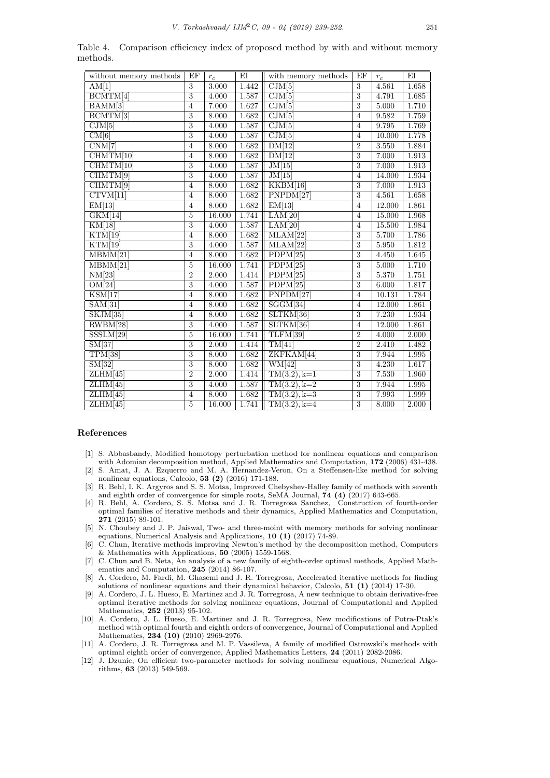| without memory methods       | EF             | $r_c$  | EI    | with memory methods          | EF             | $r_c$  | EI    |
|------------------------------|----------------|--------|-------|------------------------------|----------------|--------|-------|
| AM[1]                        | $\overline{3}$ | 3.000  | 1.442 | $\overline{\text{CJM}[5]}$   | $\overline{3}$ | 4.561  | 1.658 |
| $\overline{\text{BCMTM}[4]}$ | $\overline{3}$ | 4.000  | 1.587 | $\overline{\text{CJM}[5]}$   | $\overline{3}$ | 4.791  | 1.685 |
| BAMM[3]                      | $\overline{4}$ | 7.000  | 1.627 | $\overline{\text{CJM}[5]}$   | $\overline{3}$ | 5.000  | 1.710 |
| $\overline{\text{BCMTM}[3]}$ | $\overline{3}$ | 8.000  | 1.682 | CJM[5]                       | $\overline{4}$ | 9.582  | 1.759 |
| $\overline{\mathrm{CJM}}[5]$ | $\overline{3}$ | 4.000  | 1.587 | CJM[5]                       | $\overline{4}$ | 9.795  | 1.769 |
| CM[6]                        | $\overline{3}$ | 4.000  | 1.587 | $\overline{\mathrm{CJM}}[5]$ | $\overline{4}$ | 10.000 | 1.778 |
| CNM[7]                       | $\overline{4}$ | 8.000  | 1.682 | DM[12]                       | $\overline{2}$ | 3.550  | 1.884 |
| CHMTM[10]                    | $\overline{4}$ | 8.000  | 1.682 | DM[12]                       | $\overline{3}$ | 7.000  | 1.913 |
| CHMTM[10]                    | $\overline{3}$ | 4.000  | 1.587 | JM[15]                       | $\overline{3}$ | 7.000  | 1.913 |
| CHMTM[9]                     | $\overline{3}$ | 4.000  | 1.587 | JM[15]                       | $\overline{4}$ | 14.000 | 1.934 |
| CHMTM[9]                     | $\overline{4}$ | 8.000  | 1.682 | KKBM[16]                     | $\overline{3}$ | 7.000  | 1.913 |
| CTVM[11]                     | $\overline{4}$ | 8.000  | 1.682 | PNPDM[27]                    | $\overline{3}$ | 4.561  | 1.658 |
| EM[13]                       | $\overline{4}$ | 8.000  | 1.682 | EM[13]                       | $\overline{4}$ | 12.000 | 1.861 |
| GKM[14]                      | 5              | 16.000 | 1.741 | LAM[20]                      | $\overline{4}$ | 15.000 | 1.968 |
| KM[18]                       | $\overline{3}$ | 4.000  | 1.587 | LAM[20]                      | $\overline{4}$ | 15.500 | 1.984 |
| KTM[19]                      | $\overline{4}$ | 8.000  | 1.682 | MLAM[22]                     | $\overline{3}$ | 5.700  | 1.786 |
| KTM[19]                      | 3              | 4.000  | 1.587 | MLAM[22]                     | 3              | 5.950  | 1.812 |
| MBMM[21]                     | $\overline{4}$ | 8.000  | 1.682 | PDPM[25]                     | $\overline{3}$ | 4.450  | 1.645 |
| $\overline{\text{MBMM}[21]}$ | $\overline{5}$ | 16.000 | 1.741 | PDPM[25]                     | $\overline{3}$ | 5.000  | 1.710 |
| NM[23]                       | $\overline{2}$ | 2.000  | 1.414 | PDPM[25]                     | $\overline{3}$ | 5.370  | 1.751 |
| OM[24]                       | $\overline{3}$ | 4.000  | 1.587 | PDPM[25]                     | $\overline{3}$ | 6.000  | 1.817 |
| $\overline{\text{KSM}[17]}$  | $\overline{4}$ | 8.000  | 1.682 | PNPDM[27]                    | $\overline{4}$ | 10.131 | 1.784 |
| SAM[31]                      | $\overline{4}$ | 8.000  | 1.682 | SGGM[34]                     | $\overline{4}$ | 12.000 | 1.861 |
| SKJM[35]                     | $\overline{4}$ | 8.000  | 1.682 | SLTKM[36]                    | 3              | 7.230  | 1.934 |
| RWBM[28]                     | $\overline{3}$ | 4.000  | 1.587 | SLTKM[36]                    | $\overline{4}$ | 12.000 | 1.861 |
| SSSLM[29]                    | $\overline{5}$ | 16.000 | 1.741 | TLFM[39]                     | $\overline{2}$ | 4.000  | 2.000 |
| SM[37]                       | 3              | 2.000  | 1.414 | TM[41]                       | $\overline{2}$ | 2.410  | 1.482 |
| TPM[38]                      | $\overline{3}$ | 8.000  | 1.682 | ZKFKAM[44]                   | $\overline{3}$ | 7.944  | 1.995 |
| SM[32]                       | $\overline{3}$ | 8.000  | 1.682 | $W\overline{M[42]}$          | $\overline{3}$ | 4.230  | 1.617 |
| ZLHM[45]                     | $\overline{2}$ | 2.000  | 1.414 | $TM(3.2), k=1$               | $\overline{3}$ | 7.530  | 1.960 |
| ZLHM[45]                     | $\overline{3}$ | 4.000  | 1.587 | $TM(3.2), k=2$               | $\overline{3}$ | 7.944  | 1.995 |
| ZLHM[45]                     | $\overline{4}$ | 8.000  | 1.682 | $TM(3.2), k=3$               | $\overline{3}$ | 7.993  | 1.999 |
| ZLHM[45]                     | 5              | 16.000 | 1.741 | $TM(3.2), k=4$               | $\overline{3}$ | 8.000  | 2.000 |

Table 4. Comparison efficiency index of proposed method by with and without memory methods.

#### **References**

- [1] S. Abbasbandy, Modified homotopy perturbation method for nonlinear equations and comparison with Adomian decomposition method, Applied Mathematics and Computation, **172** (2006) 431-438.
- [2] S. Amat, J. A. Ezquerro and M. A. Hernandez-Veron, On a Steffensen-like method for solving nonlinear equations, Calcolo, **53 (2)** (2016) 171-188.
- [3] R. Behl, I. K. Argyros and S. S. Motsa, Improved Chebyshev-Halley family of methods with seventh and eighth order of convergence for simple roots, SeMA Journal, **74 (4)** (2017) 643-665.
- [4] R. Behl, A. Cordero, S. S. Motsa and J. R. Torregrosa Sanchez, Construction of fourth-order optimal families of iterative methods and their dynamics, Applied Mathematics and Computation, **271** (2015) 89-101.
- [5] N. Choubey and J. P. Jaiswal, Two- and three-moint with memory methods for solving nonlinear equations, Numerical Analysis and Applications, **10 (1)** (2017) 74-89.
- [6] C. Chun, Iterative methods improving Newton's method by the decomposition method, Computers  $\&$  Mathematics with Applications,  ${\bf 50}$  (2005) 1559-1568.
- [7] C. Chun and B. Neta, An analysis of a new family of eighth-order optimal methods, Applied Mathematics and Computation, **245** (2014) 86-107.
- [8] A. Cordero, M. Fardi, M. Ghasemi and J. R. Torregrosa, Accelerated iterative methods for finding solutions of nonlinear equations and their dynamical behavior, Calcolo, **51 (1)** (2014) 17-30.
- [9] A. Cordero, J. L. Hueso, E. Martinez and J. R. Torregrosa, A new technique to obtain derivative-free optimal iterative methods for solving nonlinear equations, Journal of Computational and Applied Mathematics, **252** (2013) 95-102.
- [10] A. Cordero, J. L. Hueso, E. Martinez and J. R. Torregrosa, New modifications of Potra-Ptak's method with optimal fourth and eighth orders of convergence, Journal of Computational and Applied Mathematics, **234 (10)** (2010) 2969-2976.
- [11] A. Cordero, J. R. Torregrosa and M. P. Vassileva, A family of modified Ostrowski's methods with optimal eighth order of convergence, Applied Mathematics Letters, **24** (2011) 2082-2086.
- [12] J. Dzunic, On efficient two-parameter methods for solving nonlinear equations, Numerical Algorithms, **63** (2013) 549-569.